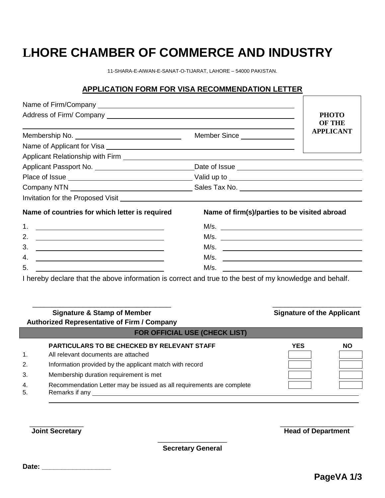# **LHORE CHAMBER OF COMMERCE AND INDUSTRY**

11-SHARA-E-AIWAN-E-SANAT-O-TIJARAT, LAHORE – 54000 PAKISTAN.

#### **APPLICATION FORM FOR VISA RECOMMENDATION LETTER**

|                                                                                    |                                              | <b>PHOTO</b>                      |
|------------------------------------------------------------------------------------|----------------------------------------------|-----------------------------------|
|                                                                                    |                                              | <b>OF THE</b><br><b>APPLICANT</b> |
|                                                                                    | Member Since _______________                 |                                   |
|                                                                                    |                                              |                                   |
|                                                                                    |                                              |                                   |
|                                                                                    |                                              |                                   |
|                                                                                    |                                              |                                   |
|                                                                                    |                                              |                                   |
| Invitation for the Proposed Visit Manual Account of the Proposed Visit             |                                              |                                   |
| Name of countries for which letter is required                                     | Name of firm(s)/parties to be visited abroad |                                   |
| 1. <u>_______________________</u>                                                  |                                              |                                   |
| 2.<br><u> Alexandria de la contrada de la contrada de la con</u>                   |                                              |                                   |
| 3.<br><u> 1989 - Johann Barn, amerikansk politiker (d. 1989)</u>                   | M/s.                                         |                                   |
| 4.<br><u> 1989 - Johann Barbara, martxa alemaniar amerikan personal (h. 1989).</u> | M/s.                                         |                                   |
| 5.                                                                                 | M/s.                                         |                                   |

I hereby declare that the above information is correct and true to the best of my knowledge and behalf.

| <b>Signature &amp; Stamp of Member</b><br><b>Authorized Representative of Firm / Company</b>                   |                                                                           | <b>Signature of the Applicant</b> |  |
|----------------------------------------------------------------------------------------------------------------|---------------------------------------------------------------------------|-----------------------------------|--|
| <b>FOR OFFICIAL USE (CHECK LIST)</b>                                                                           |                                                                           |                                   |  |
| <b>PARTICULARS TO BE CHECKED BY RELEVANT STAFF</b><br>All relevant documents are attached                      | <b>YES</b>                                                                | NΟ                                |  |
| Membership duration requirement is met<br>Recommendation Letter may be issued as all requirements are complete |                                                                           |                                   |  |
|                                                                                                                | Information provided by the applicant match with record<br>Remarks if any |                                   |  |

**Joint Secretary Head of Department** 

\_\_\_\_\_\_\_\_\_\_\_\_\_\_\_\_\_\_ **Secretary General**

\_\_\_\_\_\_\_\_\_\_\_\_\_\_ \_\_\_\_\_\_\_\_\_\_\_\_\_\_\_\_\_\_\_

**Date: \_\_\_\_\_\_\_\_\_\_\_\_\_\_\_\_\_\_**

 $\overline{\phantom{a}}$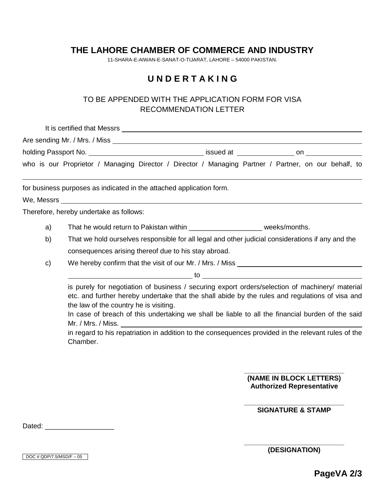## **THE LAHORE CHAMBER OF COMMERCE AND INDUSTRY**

11-SHARA-E-AIWAN-E-SANAT-O-TIJARAT, LAHORE – 54000 PAKISTAN.

## **U N D E R T A K I N G**

### TO BE APPENDED WITH THE APPLICATION FORM FOR VISA RECOMMENDATION LETTER

|    | It is certified that Messrs <b>contained</b> that Messrs <b>and Alliet According to the Contract of According to the Contract of According to the Contract of According to the Contract of According to the Contract of According to </b>                                                                                                        |
|----|--------------------------------------------------------------------------------------------------------------------------------------------------------------------------------------------------------------------------------------------------------------------------------------------------------------------------------------------------|
|    |                                                                                                                                                                                                                                                                                                                                                  |
|    |                                                                                                                                                                                                                                                                                                                                                  |
|    | who is our Proprietor / Managing Director / Director / Managing Partner / Partner, on our behalf, to                                                                                                                                                                                                                                             |
|    | for business purposes as indicated in the attached application form.                                                                                                                                                                                                                                                                             |
|    |                                                                                                                                                                                                                                                                                                                                                  |
|    | Therefore, hereby undertake as follows:                                                                                                                                                                                                                                                                                                          |
| a) | That he would return to Pakistan within ________________________ weeks/months.                                                                                                                                                                                                                                                                   |
| b) | That we hold ourselves responsible for all legal and other judicial considerations if any and the                                                                                                                                                                                                                                                |
|    | consequences arising thereof due to his stay abroad.                                                                                                                                                                                                                                                                                             |
| c) | We hereby confirm that the visit of our Mr. / Mrs. / Miss ______________________                                                                                                                                                                                                                                                                 |
|    | $\sim$ to $\sim$ to $\sim$ to $\sim$ to $\sim$ to $\sim$ to $\sim$ to $\sim$ to $\sim$ to $\sim$ to $\sim$ to $\sim$ to $\sim$                                                                                                                                                                                                                   |
|    | is purely for negotiation of business / securing export orders/selection of machinery/ material<br>etc. and further hereby undertake that the shall abide by the rules and regulations of visa and<br>the law of the country he is visiting.<br>In case of breach of this undertaking we shall be liable to all the financial burden of the said |
|    | Mr. / Mrs. / Miss. 2008. 2009. 2009. 2009. 2009. 2012. 2013. 2014. 2014. 2014. 2014. 2014. 2014. 2014. 2014. 20                                                                                                                                                                                                                                  |
|    | in regard to his repatriation in addition to the consequences provided in the relevant rules of the<br>Chamber.                                                                                                                                                                                                                                  |
|    | (NAME IN BLOCK LETTERS)                                                                                                                                                                                                                                                                                                                          |
|    | <b>Authorized Representative</b>                                                                                                                                                                                                                                                                                                                 |

**\_\_\_\_\_\_\_\_\_\_\_\_\_\_\_\_\_\_\_\_\_\_\_\_\_\_ SIGNATURE & STAMP**

Dated: \_\_\_\_\_\_\_\_\_\_\_\_\_\_\_\_\_\_

DOC # QDP/7.5/MSD/F – 05

**\_\_\_\_\_\_\_\_\_\_\_\_\_\_\_\_\_\_\_\_\_\_\_\_\_\_ (DESIGNATION)**